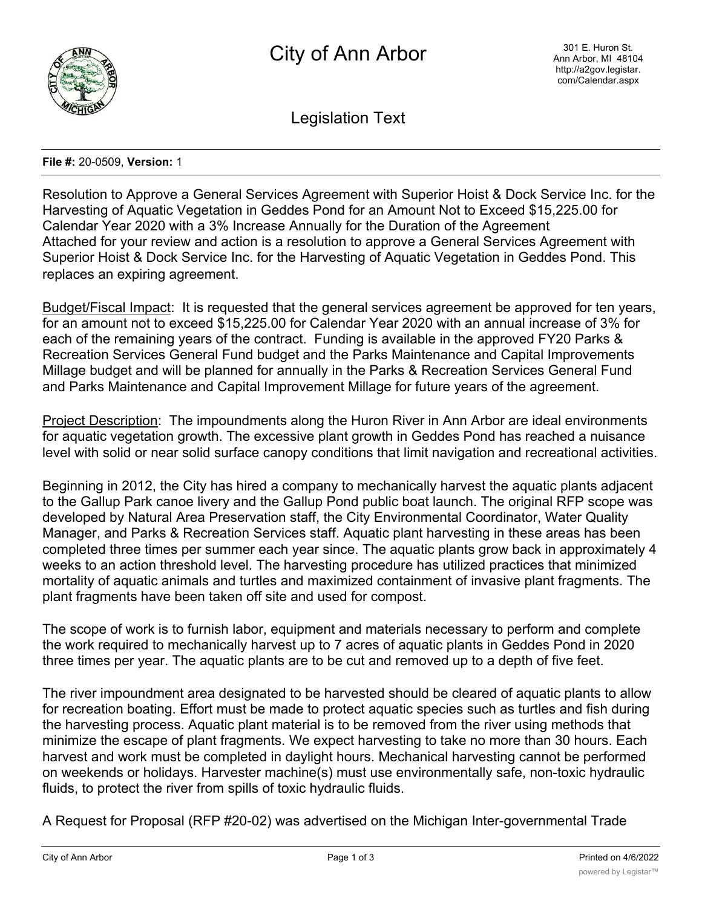

Legislation Text

## **File #:** 20-0509, **Version:** 1

Resolution to Approve a General Services Agreement with Superior Hoist & Dock Service Inc. for the Harvesting of Aquatic Vegetation in Geddes Pond for an Amount Not to Exceed \$15,225.00 for Calendar Year 2020 with a 3% Increase Annually for the Duration of the Agreement Attached for your review and action is a resolution to approve a General Services Agreement with Superior Hoist & Dock Service Inc. for the Harvesting of Aquatic Vegetation in Geddes Pond. This replaces an expiring agreement.

Budget/Fiscal Impact: It is requested that the general services agreement be approved for ten years, for an amount not to exceed \$15,225.00 for Calendar Year 2020 with an annual increase of 3% for each of the remaining years of the contract. Funding is available in the approved FY20 Parks & Recreation Services General Fund budget and the Parks Maintenance and Capital Improvements Millage budget and will be planned for annually in the Parks & Recreation Services General Fund and Parks Maintenance and Capital Improvement Millage for future years of the agreement.

Project Description: The impoundments along the Huron River in Ann Arbor are ideal environments for aquatic vegetation growth. The excessive plant growth in Geddes Pond has reached a nuisance level with solid or near solid surface canopy conditions that limit navigation and recreational activities.

Beginning in 2012, the City has hired a company to mechanically harvest the aquatic plants adjacent to the Gallup Park canoe livery and the Gallup Pond public boat launch. The original RFP scope was developed by Natural Area Preservation staff, the City Environmental Coordinator, Water Quality Manager, and Parks & Recreation Services staff. Aquatic plant harvesting in these areas has been completed three times per summer each year since. The aquatic plants grow back in approximately 4 weeks to an action threshold level. The harvesting procedure has utilized practices that minimized mortality of aquatic animals and turtles and maximized containment of invasive plant fragments. The plant fragments have been taken off site and used for compost.

The scope of work is to furnish labor, equipment and materials necessary to perform and complete the work required to mechanically harvest up to 7 acres of aquatic plants in Geddes Pond in 2020 three times per year. The aquatic plants are to be cut and removed up to a depth of five feet.

The river impoundment area designated to be harvested should be cleared of aquatic plants to allow for recreation boating. Effort must be made to protect aquatic species such as turtles and fish during the harvesting process. Aquatic plant material is to be removed from the river using methods that minimize the escape of plant fragments. We expect harvesting to take no more than 30 hours. Each harvest and work must be completed in daylight hours. Mechanical harvesting cannot be performed on weekends or holidays. Harvester machine(s) must use environmentally safe, non-toxic hydraulic fluids, to protect the river from spills of toxic hydraulic fluids.

A Request for Proposal (RFP #20-02) was advertised on the Michigan Inter-governmental Trade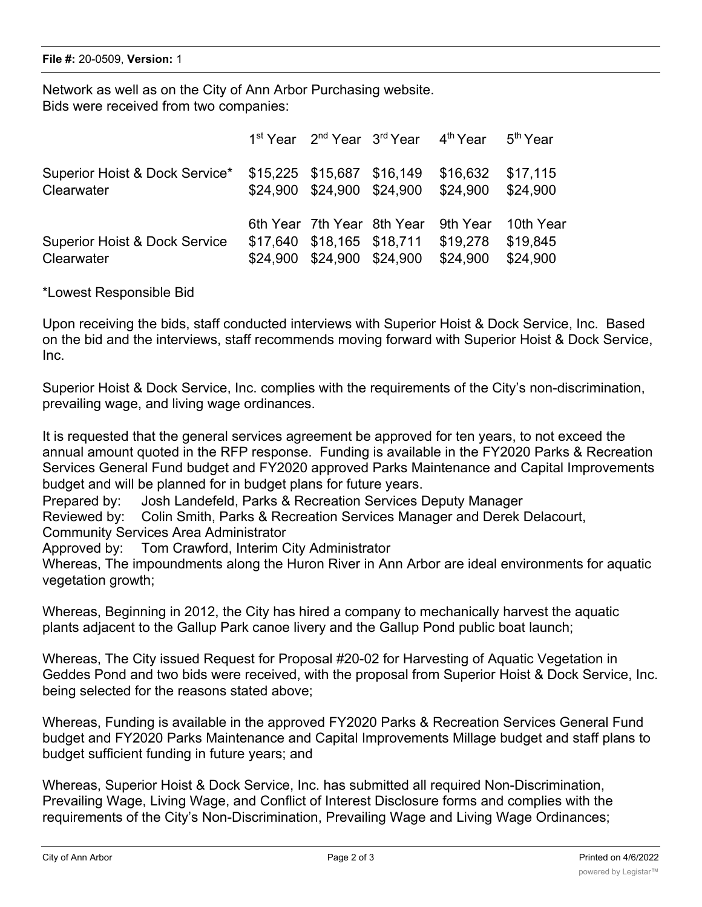Network as well as on the City of Ann Arbor Purchasing website. Bids were received from two companies:

|                                                        |                                                                                        |                            | 1 <sup>st</sup> Year 2 <sup>nd</sup> Year 3 <sup>rd</sup> Year 4 <sup>th</sup> Year | 5 <sup>th</sup> Year              |
|--------------------------------------------------------|----------------------------------------------------------------------------------------|----------------------------|-------------------------------------------------------------------------------------|-----------------------------------|
| Superior Hoist & Dock Service*<br>Clearwater           | \$24,900 \$24,900 \$24,900                                                             | \$15,225 \$15,687 \$16,149 | \$16,632<br>\$24,900                                                                | \$17,115<br>\$24.900              |
| <b>Superior Hoist &amp; Dock Service</b><br>Clearwater | 6th Year 7th Year 8th Year<br>\$17,640 \$18,165 \$18,711<br>\$24,900 \$24,900 \$24,900 |                            | 9th Year<br>\$19,278<br>\$24,900                                                    | 10th Year<br>\$19.845<br>\$24.900 |

\*Lowest Responsible Bid

Upon receiving the bids, staff conducted interviews with Superior Hoist & Dock Service, Inc. Based on the bid and the interviews, staff recommends moving forward with Superior Hoist & Dock Service, Inc.

Superior Hoist & Dock Service, Inc. complies with the requirements of the City's non-discrimination, prevailing wage, and living wage ordinances.

It is requested that the general services agreement be approved for ten years, to not exceed the annual amount quoted in the RFP response. Funding is available in the FY2020 Parks & Recreation Services General Fund budget and FY2020 approved Parks Maintenance and Capital Improvements budget and will be planned for in budget plans for future years.

Prepared by: Josh Landefeld, Parks & Recreation Services Deputy Manager

Reviewed by: Colin Smith, Parks & Recreation Services Manager and Derek Delacourt,

Community Services Area Administrator

Approved by: Tom Crawford, Interim City Administrator

Whereas, The impoundments along the Huron River in Ann Arbor are ideal environments for aquatic vegetation growth;

Whereas, Beginning in 2012, the City has hired a company to mechanically harvest the aquatic plants adjacent to the Gallup Park canoe livery and the Gallup Pond public boat launch;

Whereas, The City issued Request for Proposal #20-02 for Harvesting of Aquatic Vegetation in Geddes Pond and two bids were received, with the proposal from Superior Hoist & Dock Service, Inc. being selected for the reasons stated above;

Whereas, Funding is available in the approved FY2020 Parks & Recreation Services General Fund budget and FY2020 Parks Maintenance and Capital Improvements Millage budget and staff plans to budget sufficient funding in future years; and

Whereas, Superior Hoist & Dock Service, Inc. has submitted all required Non-Discrimination, Prevailing Wage, Living Wage, and Conflict of Interest Disclosure forms and complies with the requirements of the City's Non-Discrimination, Prevailing Wage and Living Wage Ordinances;